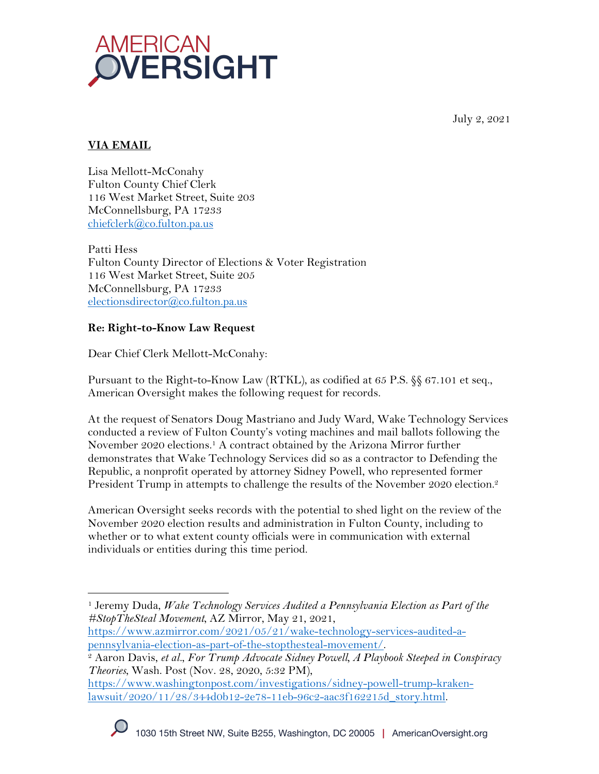

July 2, 2021

# **VIA EMAIL**

Lisa Mellott-McConahy Fulton County Chief Clerk 116 West Market Street, Suite 203 McConnellsburg, PA 17233 chiefclerk@co.fulton.pa.us

Patti Hess Fulton County Director of Elections & Voter Registration 116 West Market Street, Suite 205 McConnellsburg, PA 17233 electionsdirector@co.fulton.pa.us

## **Re: Right-to-Know Law Request**

Dear Chief Clerk Mellott-McConahy:

Pursuant to the Right-to-Know Law (RTKL), as codified at 65 P.S. §§ 67.101 et seq., American Oversight makes the following request for records.

At the request of Senators Doug Mastriano and Judy Ward, Wake Technology Services conducted a review of Fulton County's voting machines and mail ballots following the November 2020 elections.1 A contract obtained by the Arizona Mirror further demonstrates that Wake Technology Services did so as a contractor to Defending the Republic, a nonprofit operated by attorney Sidney Powell, who represented former President Trump in attempts to challenge the results of the November 2020 election.<sup>2</sup>

American Oversight seeks records with the potential to shed light on the review of the November 2020 election results and administration in Fulton County, including to whether or to what extent county officials were in communication with external individuals or entities during this time period.

https://www.azmirror.com/2021/05/21/wake-technology-services-audited-apennsylvania-election-as-part-of-the-stopthesteal-movement/. 2 Aaron Davis, *et al.*, *For Trump Advocate Sidney Powell, A Playbook Steeped in Conspiracy* 

https://www.washingtonpost.com/investigations/sidney-powell-trump-krakenlawsuit/2020/11/28/344d0b12-2e78-11eb-96c2-aac3f162215d\_story.html.



<sup>1</sup> Jeremy Duda, *Wake Technology Services Audited a Pennsylvania Election as Part of the #StopTheSteal Movement*, AZ Mirror, May 21, 2021,

*Theories*, Wash. Post (Nov. 28, 2020, 5:32 PM),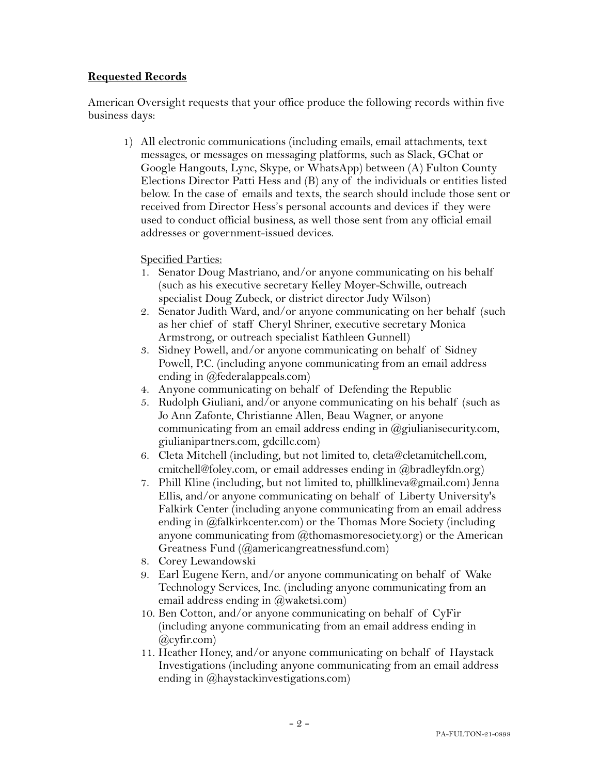### **Requested Records**

American Oversight requests that your office produce the following records within five business days:

1) All electronic communications (including emails, email attachments, text messages, or messages on messaging platforms, such as Slack, GChat or Google Hangouts, Lync, Skype, or WhatsApp) between (A) Fulton County Elections Director Patti Hess and (B) any of the individuals or entities listed below. In the case of emails and texts, the search should include those sent or received from Director Hess's personal accounts and devices if they were used to conduct official business, as well those sent from any official email addresses or government-issued devices.

#### Specified Parties:

- 1. Senator Doug Mastriano, and/or anyone communicating on his behalf (such as his executive secretary Kelley Moyer-Schwille, outreach specialist Doug Zubeck, or district director Judy Wilson)
- 2. Senator Judith Ward, and/or anyone communicating on her behalf (such as her chief of staff Cheryl Shriner, executive secretary Monica Armstrong, or outreach specialist Kathleen Gunnell)
- 3. Sidney Powell, and/or anyone communicating on behalf of Sidney Powell, P.C. (including anyone communicating from an email address ending in @federalappeals.com)
- 4. Anyone communicating on behalf of Defending the Republic
- 5. Rudolph Giuliani, and/or anyone communicating on his behalf (such as Jo Ann Zafonte, Christianne Allen, Beau Wagner, or anyone communicating from an email address ending in  $(\partial g)$  ulianisecurity.com, giulianipartners.com, gdcillc.com)
- 6. Cleta Mitchell (including, but not limited to, cleta@cletamitchell.com, cmitchell@foley.com, or email addresses ending in @bradleyfdn.org)
- 7. Phill Kline (including, but not limited to, phillklineva@gmail.com) Jenna Ellis, and/or anyone communicating on behalf of Liberty University's Falkirk Center (including anyone communicating from an email address ending in @falkirkcenter.com) or the Thomas More Society (including anyone communicating from  $@t$ homasmoresociety.org) or the American Greatness Fund (@americangreatnessfund.com)
- 8. Corey Lewandowski
- 9. Earl Eugene Kern, and/or anyone communicating on behalf of Wake Technology Services, Inc. (including anyone communicating from an email address ending in  $(\overline{a})$  waketsi.com)
- 10. Ben Cotton, and/or anyone communicating on behalf of CyFir (including anyone communicating from an email address ending in @cyfir.com)
- 11. Heather Honey, and/or anyone communicating on behalf of Haystack Investigations (including anyone communicating from an email address ending in  $(\vec{a})$  haystackinvestigations.com)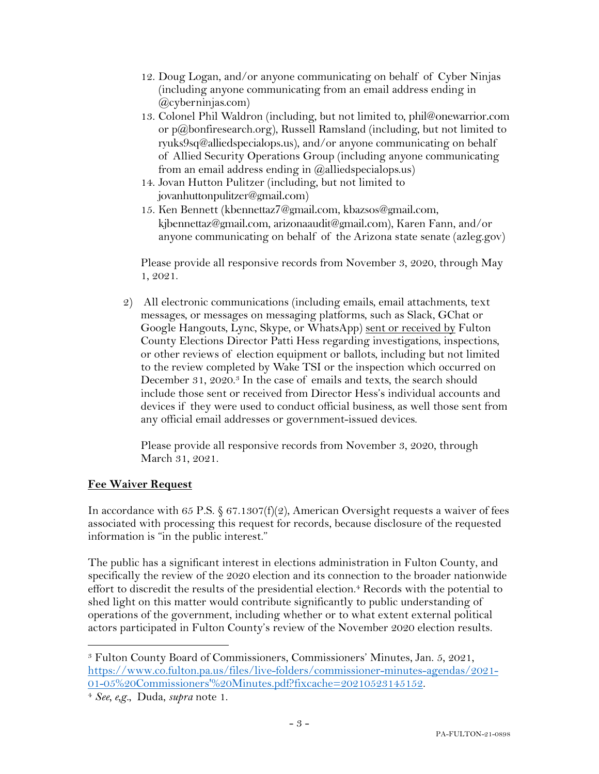- 12. Doug Logan, and/or anyone communicating on behalf of Cyber Ninjas (including anyone communicating from an email address ending in @cyberninjas.com)
- 13. Colonel Phil Waldron (including, but not limited to, phil@onewarrior.com or p@bonfiresearch.org), Russell Ramsland (including, but not limited to ryuks9sq@alliedspecialops.us), and/or anyone communicating on behalf of Allied Security Operations Group (including anyone communicating from an email address ending in  $(\partial \Omega)$ alliedspecialops.us)
- 14. Jovan Hutton Pulitzer (including, but not limited to jovanhuttonpulitzer@gmail.com)
- 15. Ken Bennett (kbennettaz7@gmail.com, kbazsos@gmail.com, kjbennettaz@gmail.com, arizonaaudit@gmail.com), Karen Fann, and/or anyone communicating on behalf of the Arizona state senate (azleg.gov)

Please provide all responsive records from November 3, 2020, through May 1, 2021.

2) All electronic communications (including emails, email attachments, text messages, or messages on messaging platforms, such as Slack, GChat or Google Hangouts, Lync, Skype, or WhatsApp) sent or received by Fulton County Elections Director Patti Hess regarding investigations, inspections, or other reviews of election equipment or ballots, including but not limited to the review completed by Wake TSI or the inspection which occurred on December 31, 2020.<sup>3</sup> In the case of emails and texts, the search should include those sent or received from Director Hess's individual accounts and devices if they were used to conduct official business, as well those sent from any official email addresses or government-issued devices.

Please provide all responsive records from November 3, 2020, through March 31, 2021.

## **Fee Waiver Request**

In accordance with 65 P.S.  $\S 67.1307(f)(2)$ , American Oversight requests a waiver of fees associated with processing this request for records, because disclosure of the requested information is "in the public interest."

The public has a significant interest in elections administration in Fulton County, and specifically the review of the 2020 election and its connection to the broader nationwide effort to discredit the results of the presidential election. <sup>4</sup> Records with the potential to shed light on this matter would contribute significantly to public understanding of operations of the government, including whether or to what extent external political actors participated in Fulton County's review of the November 2020 election results.

<sup>3</sup> Fulton County Board of Commissioners, Commissioners' Minutes, Jan. 5, 2021, https://www.co.fulton.pa.us/files/live-folders/commissioner-minutes-agendas/2021- 01-05%20Commissioners'%20Minutes.pdf?fixcache=20210523145152.

<sup>4</sup> *See, e,g.*, Duda, *supra* note 1.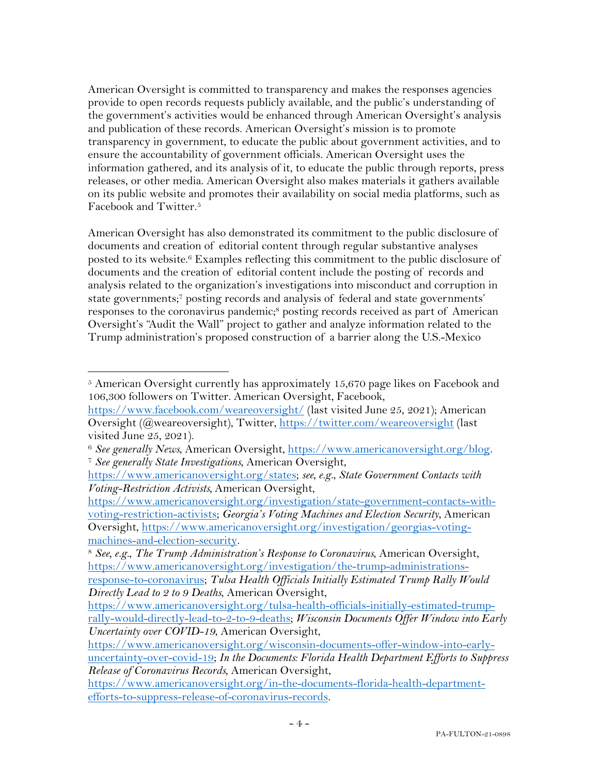American Oversight is committed to transparency and makes the responses agencies provide to open records requests publicly available, and the public's understanding of the government's activities would be enhanced through American Oversight's analysis and publication of these records. American Oversight's mission is to promote transparency in government, to educate the public about government activities, and to ensure the accountability of government officials. American Oversight uses the information gathered, and its analysis of it, to educate the public through reports, press releases, or other media. American Oversight also makes materials it gathers available on its public website and promotes their availability on social media platforms, such as Facebook and Twitter.5

American Oversight has also demonstrated its commitment to the public disclosure of documents and creation of editorial content through regular substantive analyses posted to its website.<sup>6</sup> Examples reflecting this commitment to the public disclosure of documents and the creation of editorial content include the posting of records and analysis related to the organization's investigations into misconduct and corruption in state governments; <sup>7</sup> posting records and analysis of federal and state governments' responses to the coronavirus pandemic;8 posting records received as part of American Oversight's "Audit the Wall" project to gather and analyze information related to the Trump administration's proposed construction of a barrier along the U.S.-Mexico

 $5$  American Oversight currently has approximately 15,670 page likes on Facebook and 106,300 followers on Twitter. American Oversight, Facebook,

https://www.facebook.com/weareoversight/ (last visited June 25, 2021); American Oversight (@weareoversight), Twitter, https://twitter.com/weareoversight (last visited June 25, 2021).

<sup>6</sup> *See generally News*, American Oversight, https://www.americanoversight.org/blog. 7 *See generally State Investigations*, American Oversight,

https://www.americanoversight.org/states; *see, e.g.*, *State Government Contacts with Voting-Restriction Activists,* American Oversight,

https://www.americanoversight.org/investigation/state-government-contacts-withvoting-restriction-activists; *Georgia's Voting Machines and Election Security*, American Oversight, https://www.americanoversight.org/investigation/georgias-voting-

machines-and-election-security.<br><sup>8</sup> *See, e.g., The Trump Administration's Response to Coronavirus*, American Oversight, https://www.americanoversight.org/investigation/the-trump-administrations-

response-to-coronavirus; *Tulsa Health Officials Initially Estimated Trump Rally Would Directly Lead to 2 to 9 Deaths*, American Oversight,

https://www.americanoversight.org/tulsa-health-officials-initially-estimated-trumprally-would-directly-lead-to-2-to-9-deaths; *Wisconsin Documents Offer Window into Early Uncertainty over COVID-19*, American Oversight,

https://www.americanoversight.org/wisconsin-documents-offer-window-into-earlyuncertainty-over-covid-19; *In the Documents: Florida Health Department Efforts to Suppress Release of Coronavirus Records*, American Oversight,

https://www.americanoversight.org/in-the-documents-florida-health-departmentefforts-to-suppress-release-of-coronavirus-records.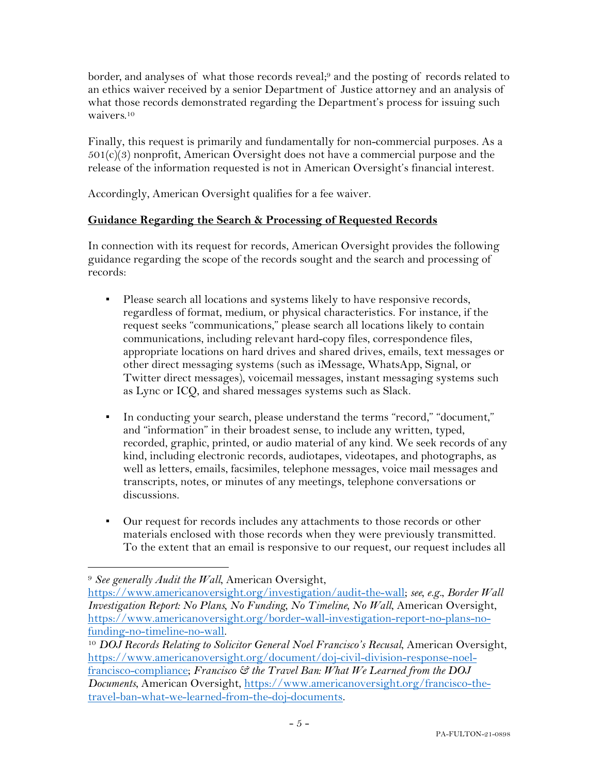border, and analyses of what those records reveal;<sup>9</sup> and the posting of records related to an ethics waiver received by a senior Department of Justice attorney and an analysis of what those records demonstrated regarding the Department's process for issuing such waivers.10

Finally, this request is primarily and fundamentally for non-commercial purposes. As a  $501(c)(3)$  nonprofit, American Oversight does not have a commercial purpose and the release of the information requested is not in American Oversight's financial interest.

Accordingly, American Oversight qualifies for a fee waiver.

## **Guidance Regarding the Search & Processing of Requested Records**

In connection with its request for records, American Oversight provides the following guidance regarding the scope of the records sought and the search and processing of records:

- Please search all locations and systems likely to have responsive records, regardless of format, medium, or physical characteristics. For instance, if the request seeks "communications," please search all locations likely to contain communications, including relevant hard-copy files, correspondence files, appropriate locations on hard drives and shared drives, emails, text messages or other direct messaging systems (such as iMessage, WhatsApp, Signal, or Twitter direct messages), voicemail messages, instant messaging systems such as Lync or ICQ, and shared messages systems such as Slack.
- In conducting your search, please understand the terms "record," "document," and "information" in their broadest sense, to include any written, typed, recorded, graphic, printed, or audio material of any kind. We seek records of any kind, including electronic records, audiotapes, videotapes, and photographs, as well as letters, emails, facsimiles, telephone messages, voice mail messages and transcripts, notes, or minutes of any meetings, telephone conversations or discussions.
- Our request for records includes any attachments to those records or other materials enclosed with those records when they were previously transmitted. To the extent that an email is responsive to our request, our request includes all

<sup>9</sup> *See generally Audit the Wall*, American Oversight,

https://www.americanoversight.org/investigation/audit-the-wall; *see, e.g.*, *Border Wall Investigation Report: No Plans, No Funding, No Timeline, No Wall*, American Oversight, https://www.americanoversight.org/border-wall-investigation-report-no-plans-nofunding-no-timeline-no-wall. 10 *DOJ Records Relating to Solicitor General Noel Francisco's Recusal*, American Oversight,

https://www.americanoversight.org/document/doj-civil-division-response-noelfrancisco-compliance; *Francisco & the Travel Ban: What We Learned from the DOJ Documents*, American Oversight, https://www.americanoversight.org/francisco-thetravel-ban-what-we-learned-from-the-doj-documents.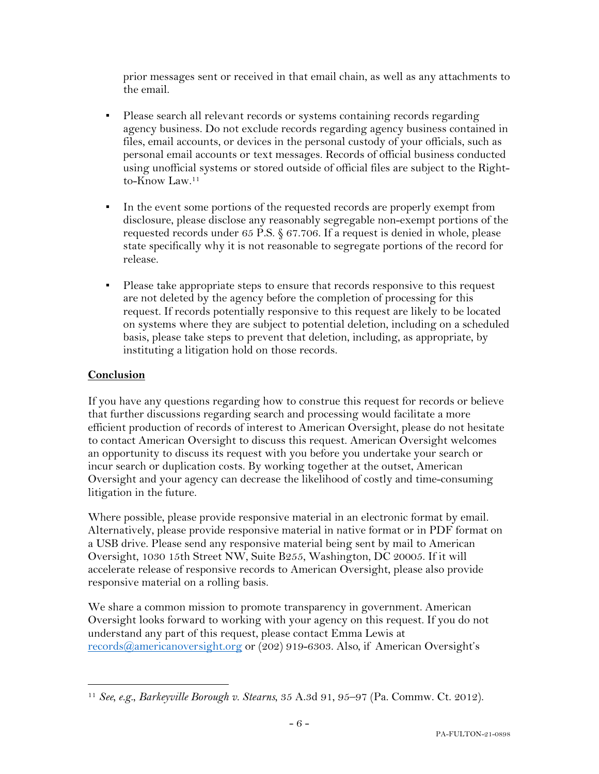prior messages sent or received in that email chain, as well as any attachments to the email.

- **•** Please search all relevant records or systems containing records regarding agency business. Do not exclude records regarding agency business contained in files, email accounts, or devices in the personal custody of your officials, such as personal email accounts or text messages. Records of official business conducted using unofficial systems or stored outside of official files are subject to the Rightto-Know Law.11
- In the event some portions of the requested records are properly exempt from disclosure, please disclose any reasonably segregable non-exempt portions of the requested records under 65 P.S. § 67.706. If a request is denied in whole, please state specifically why it is not reasonable to segregate portions of the record for release.
- **•** Please take appropriate steps to ensure that records responsive to this request are not deleted by the agency before the completion of processing for this request. If records potentially responsive to this request are likely to be located on systems where they are subject to potential deletion, including on a scheduled basis, please take steps to prevent that deletion, including, as appropriate, by instituting a litigation hold on those records.

## **Conclusion**

If you have any questions regarding how to construe this request for records or believe that further discussions regarding search and processing would facilitate a more efficient production of records of interest to American Oversight, please do not hesitate to contact American Oversight to discuss this request. American Oversight welcomes an opportunity to discuss its request with you before you undertake your search or incur search or duplication costs. By working together at the outset, American Oversight and your agency can decrease the likelihood of costly and time-consuming litigation in the future.

Where possible, please provide responsive material in an electronic format by email. Alternatively, please provide responsive material in native format or in PDF format on a USB drive. Please send any responsive material being sent by mail to American Oversight, 1030 15th Street NW, Suite B255, Washington, DC 20005. If it will accelerate release of responsive records to American Oversight, please also provide responsive material on a rolling basis.

We share a common mission to promote transparency in government. American Oversight looks forward to working with your agency on this request. If you do not understand any part of this request, please contact Emma Lewis at records@americanoversight.org or (202) 919-6303. Also, if American Oversight's

<sup>11</sup> *See, e.g.*, *Barkeyville Borough v. Stearns*, 35 A.3d 91, 95–97 (Pa. Commw. Ct. 2012).